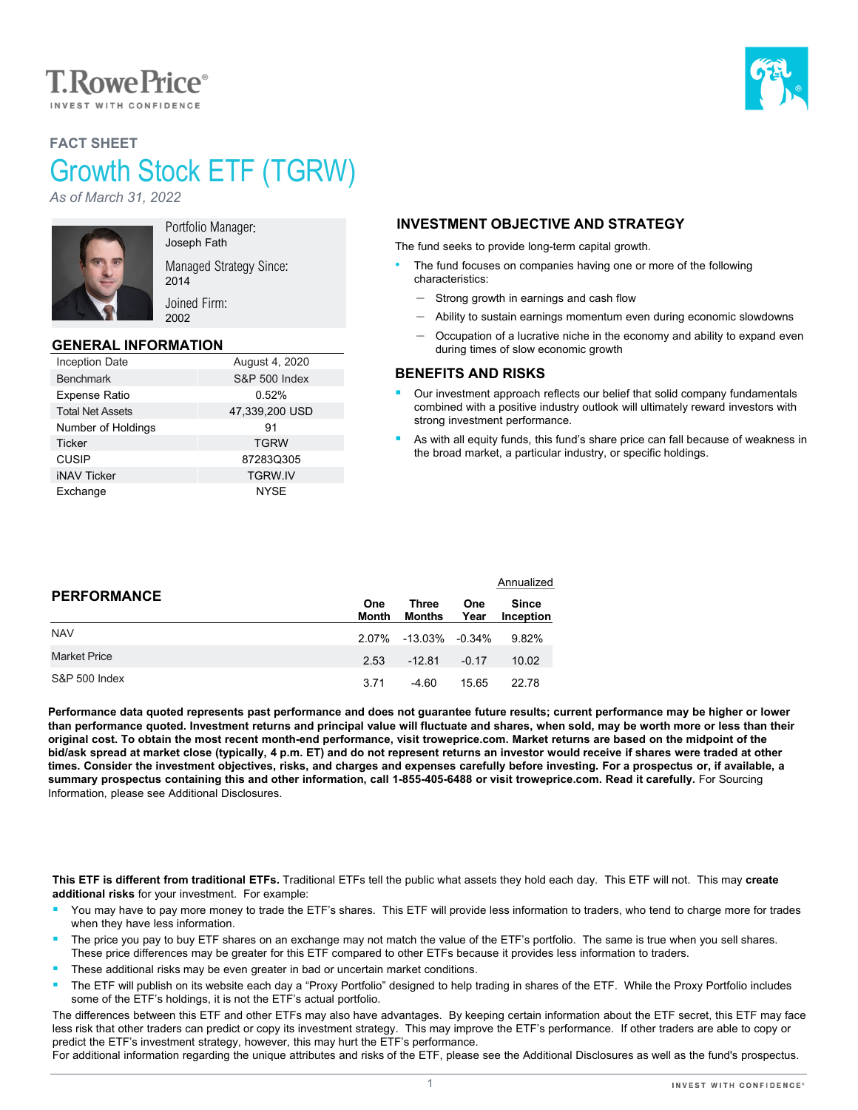

# **FACT SHEET** Growth Stock ETF (TGRW)

*As of March 31, 2022*



Portfolio Manager: Joseph Fath Managed Strategy Since:

Joined Firm: 2002

2014

#### **GENERAL INFORMATION**

| <b>Inception Date</b>   | August 4, 2020           |
|-------------------------|--------------------------|
| <b>Benchmark</b>        | <b>S&amp;P 500 Index</b> |
| <b>Expense Ratio</b>    | 0.52%                    |
| <b>Total Net Assets</b> | 47,339,200 USD           |
| Number of Holdings      | 91                       |
| <b>Ticker</b>           | <b>TGRW</b>              |
| <b>CUSIP</b>            | 87283Q305                |
| <b>iNAV Ticker</b>      | <b>TGRW.IV</b>           |
| Exchange                | NYSE                     |

## **INVESTMENT OBJECTIVE AND STRATEGY**

The fund seeks to provide long-term capital growth.

- The fund focuses on companies having one or more of the following characteristics:
	- ‒ Strong growth in earnings and cash flow
	- Ability to sustain earnings momentum even during economic slowdowns
	- ‒ Occupation of a lucrative niche in the economy and ability to expand even during times of slow economic growth

#### **BENEFITS AND RISKS**

- Our investment approach reflects our belief that solid company fundamentals combined with a positive industry outlook will ultimately reward investors with strong investment performance.
- As with all equity funds, this fund's share price can fall because of weakness in the broad market, a particular industry, or specific holdings.

|                          |                     |                 |                    | Annualized                |  |
|--------------------------|---------------------|-----------------|--------------------|---------------------------|--|
| <b>PERFORMANCE</b>       | <b>One</b><br>Month | Three<br>Months | <b>One</b><br>Year | <b>Since</b><br>Inception |  |
| <b>NAV</b>               | 2 07%               | -13.03% -0.34%  |                    | 9.82%                     |  |
| <b>Market Price</b>      | 2.53                | $-12.81$        | $-0.17$            | 10.02                     |  |
| <b>S&amp;P 500 Index</b> | 3.71                | $-4.60$         | 15.65              | 22.78                     |  |

**Performance data quoted represents past performance and does not guarantee future results; current performance may be higher or lower than performance quoted. Investment returns and principal value will fluctuate and shares, when sold, may be worth more or less than their original cost. To obtain the most recent month-end performance, visit troweprice.com. Market returns are based on the midpoint of the bid/ask spread at market close (typically, 4 p.m. ET) and do not represent returns an investor would receive if shares were traded at other times. Consider the investment objectives, risks, and charges and expenses carefully before investing. For a prospectus or, if available, a**  summary prospectus containing this and other information, call 1-855-405-6488 or visit troweprice.com. Read it carefully. For Sourcing Information, please see Additional Disclosures.

**This ETF is different from traditional ETFs.** Traditional ETFs tell the public what assets they hold each day. This ETF will not. This may **create additional risks** for your investment. For example:

- You may have to pay more money to trade the ETF's shares. This ETF will provide less information to traders, who tend to charge more for trades when they have less information.
- The price you pay to buy ETF shares on an exchange may not match the value of the ETF's portfolio. The same is true when you sell shares. These price differences may be greater for this ETF compared to other ETFs because it provides less information to traders.
- These additional risks may be even greater in bad or uncertain market conditions.
- The ETF will publish on its website each day a "Proxy Portfolio" designed to help trading in shares of the ETF. While the Proxy Portfolio includes some of the ETF's holdings, it is not the ETF's actual portfolio.

The differences between this ETF and other ETFs may also have advantages. By keeping certain information about the ETF secret, this ETF may face less risk that other traders can predict or copy its investment strategy. This may improve the ETF's performance. If other traders are able to copy or predict the ETF's investment strategy, however, this may hurt the ETF's performance.

For additional information regarding the unique attributes and risks of the ETF, please see the Additional Disclosures as well as the fund's prospectus.